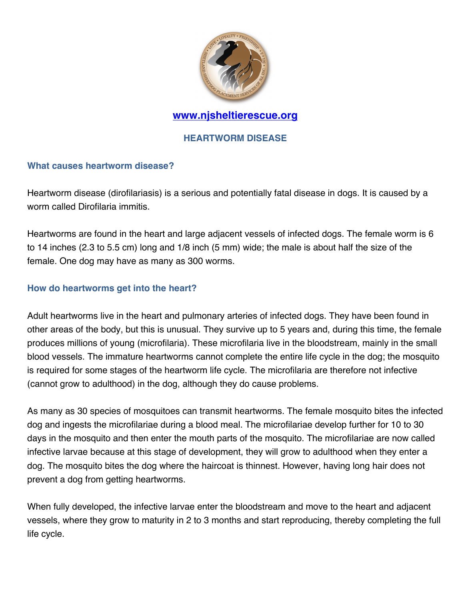

### **HEARTWORM DISEASE**

#### **What causes heartworm disease?**

Heartworm disease (dirofilariasis) is a serious and potentially fatal disease in dogs. It is caused by a worm called Dirofilaria immitis.

Heartworms are found in the heart and large adjacent vessels of infected dogs. The female worm is 6 to 14 inches (2.3 to 5.5 cm) long and 1/8 inch (5 mm) wide; the male is about half the size of the female. One dog may have as many as 300 worms.

#### **How do heartworms get into the heart?**

Adult heartworms live in the heart and pulmonary arteries of infected dogs. They have been found in other areas of the body, but this is unusual. They survive up to 5 years and, during this time, the female produces millions of young (microfilaria). These microfilaria live in the bloodstream, mainly in the small blood vessels. The immature heartworms cannot complete the entire life cycle in the dog; the mosquito is required for some stages of the heartworm life cycle. The microfilaria are therefore not infective (cannot grow to adulthood) in the dog, although they do cause problems.

As many as 30 species of mosquitoes can transmit heartworms. The female mosquito bites the infected dog and ingests the microfilariae during a blood meal. The microfilariae develop further for 10 to 30 days in the mosquito and then enter the mouth parts of the mosquito. The microfilariae are now called infective larvae because at this stage of development, they will grow to adulthood when they enter a dog. The mosquito bites the dog where the haircoat is thinnest. However, having long hair does not prevent a dog from getting heartworms.

When fully developed, the infective larvae enter the bloodstream and move to the heart and adjacent vessels, where they grow to maturity in 2 to 3 months and start reproducing, thereby completing the full life cycle.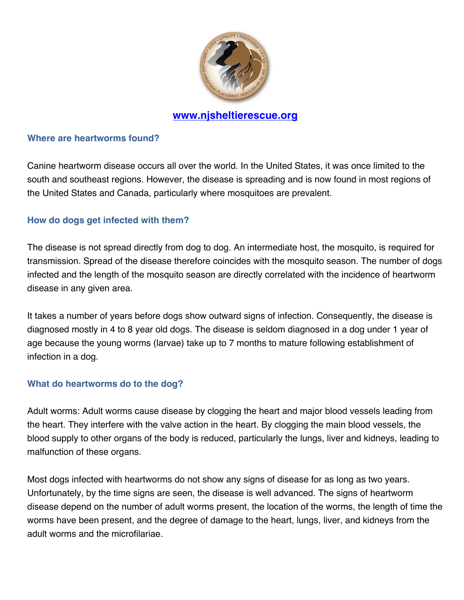

#### **Where are heartworms found?**

Canine heartworm disease occurs all over the world. In the United States, it was once limited to the south and southeast regions. However, the disease is spreading and is now found in most regions of the United States and Canada, particularly where mosquitoes are prevalent.

### **How do dogs get infected with them?**

The disease is not spread directly from dog to dog. An intermediate host, the mosquito, is required for transmission. Spread of the disease therefore coincides with the mosquito season. The number of dogs infected and the length of the mosquito season are directly correlated with the incidence of heartworm disease in any given area.

It takes a number of years before dogs show outward signs of infection. Consequently, the disease is diagnosed mostly in 4 to 8 year old dogs. The disease is seldom diagnosed in a dog under 1 year of age because the young worms (larvae) take up to 7 months to mature following establishment of infection in a dog.

#### **What do heartworms do to the dog?**

Adult worms: Adult worms cause disease by clogging the heart and major blood vessels leading from the heart. They interfere with the valve action in the heart. By clogging the main blood vessels, the blood supply to other organs of the body is reduced, particularly the lungs, liver and kidneys, leading to malfunction of these organs.

Most dogs infected with heartworms do not show any signs of disease for as long as two years. Unfortunately, by the time signs are seen, the disease is well advanced. The signs of heartworm disease depend on the number of adult worms present, the location of the worms, the length of time the worms have been present, and the degree of damage to the heart, lungs, liver, and kidneys from the adult worms and the microfilariae.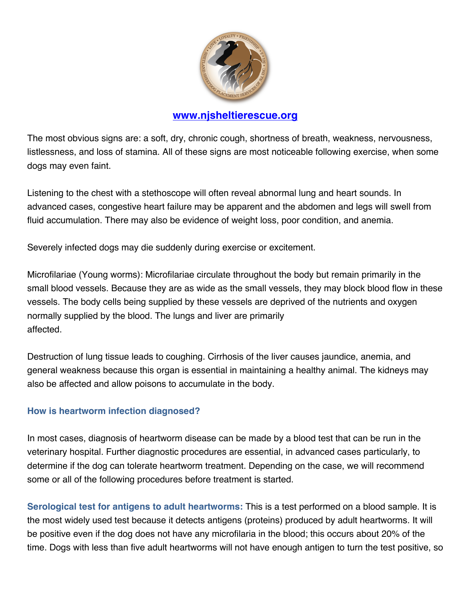

The most obvious signs are: a soft, dry, chronic cough, shortness of breath, weakness, nervousness, listlessness, and loss of stamina. All of these signs are most noticeable following exercise, when some dogs may even faint.

Listening to the chest with a stethoscope will often reveal abnormal lung and heart sounds. In advanced cases, congestive heart failure may be apparent and the abdomen and legs will swell from fluid accumulation. There may also be evidence of weight loss, poor condition, and anemia.

Severely infected dogs may die suddenly during exercise or excitement.

Microfilariae (Young worms): Microfilariae circulate throughout the body but remain primarily in the small blood vessels. Because they are as wide as the small vessels, they may block blood flow in these vessels. The body cells being supplied by these vessels are deprived of the nutrients and oxygen normally supplied by the blood. The lungs and liver are primarily affected.

Destruction of lung tissue leads to coughing. Cirrhosis of the liver causes jaundice, anemia, and general weakness because this organ is essential in maintaining a healthy animal. The kidneys may also be affected and allow poisons to accumulate in the body.

### **How is heartworm infection diagnosed?**

In most cases, diagnosis of heartworm disease can be made by a blood test that can be run in the veterinary hospital. Further diagnostic procedures are essential, in advanced cases particularly, to determine if the dog can tolerate heartworm treatment. Depending on the case, we will recommend some or all of the following procedures before treatment is started.

**Serological test for antigens to adult heartworms:** This is a test performed on a blood sample. It is the most widely used test because it detects antigens (proteins) produced by adult heartworms. It will be positive even if the dog does not have any microfilaria in the blood; this occurs about 20% of the time. Dogs with less than five adult heartworms will not have enough antigen to turn the test positive, so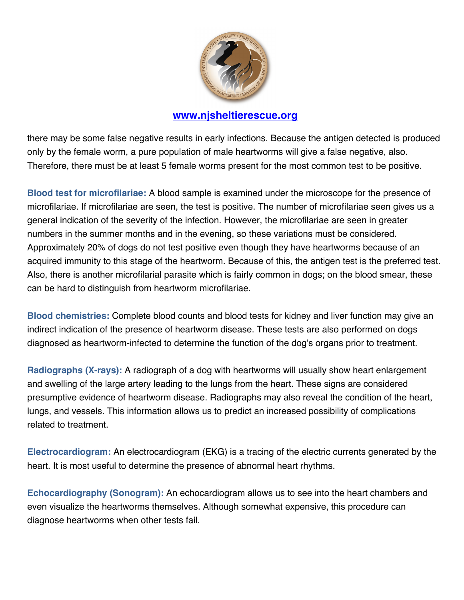

there may be some false negative results in early infections. Because the antigen detected is produced only by the female worm, a pure population of male heartworms will give a false negative, also. Therefore, there must be at least 5 female worms present for the most common test to be positive.

**Blood test for microfilariae:** A blood sample is examined under the microscope for the presence of microfilariae. If microfilariae are seen, the test is positive. The number of microfilariae seen gives us a general indication of the severity of the infection. However, the microfilariae are seen in greater numbers in the summer months and in the evening, so these variations must be considered. Approximately 20% of dogs do not test positive even though they have heartworms because of an acquired immunity to this stage of the heartworm. Because of this, the antigen test is the preferred test. Also, there is another microfilarial parasite which is fairly common in dogs; on the blood smear, these can be hard to distinguish from heartworm microfilariae.

**Blood chemistries:** Complete blood counts and blood tests for kidney and liver function may give an indirect indication of the presence of heartworm disease. These tests are also performed on dogs diagnosed as heartworm-infected to determine the function of the dog's organs prior to treatment.

**Radiographs (X-rays):** A radiograph of a dog with heartworms will usually show heart enlargement and swelling of the large artery leading to the lungs from the heart. These signs are considered presumptive evidence of heartworm disease. Radiographs may also reveal the condition of the heart, lungs, and vessels. This information allows us to predict an increased possibility of complications related to treatment.

**Electrocardiogram:** An electrocardiogram (EKG) is a tracing of the electric currents generated by the heart. It is most useful to determine the presence of abnormal heart rhythms.

**Echocardiography (Sonogram):** An echocardiogram allows us to see into the heart chambers and even visualize the heartworms themselves. Although somewhat expensive, this procedure can diagnose heartworms when other tests fail.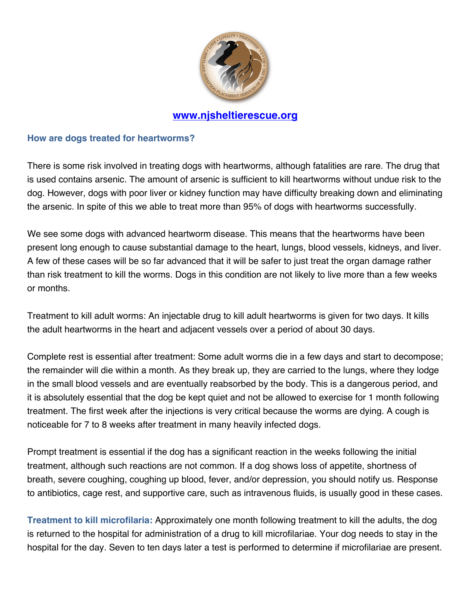

#### **How are dogs treated for heartworms?**

There is some risk involved in treating dogs with heartworms, although fatalities are rare. The drug that is used contains arsenic. The amount of arsenic is sufficient to kill heartworms without undue risk to the dog. However, dogs with poor liver or kidney function may have difficulty breaking down and eliminating the arsenic. In spite of this we able to treat more than 95% of dogs with heartworms successfully.

We see some dogs with advanced heartworm disease. This means that the heartworms have been present long enough to cause substantial damage to the heart, lungs, blood vessels, kidneys, and liver. A few of these cases will be so far advanced that it will be safer to just treat the organ damage rather than risk treatment to kill the worms. Dogs in this condition are not likely to live more than a few weeks or months.

Treatment to kill adult worms: An injectable drug to kill adult heartworms is given for two days. It kills the adult heartworms in the heart and adjacent vessels over a period of about 30 days.

Complete rest is essential after treatment: Some adult worms die in a few days and start to decompose; the remainder will die within a month. As they break up, they are carried to the lungs, where they lodge in the small blood vessels and are eventually reabsorbed by the body. This is a dangerous period, and it is absolutely essential that the dog be kept quiet and not be allowed to exercise for 1 month following treatment. The first week after the injections is very critical because the worms are dying. A cough is noticeable for 7 to 8 weeks after treatment in many heavily infected dogs.

Prompt treatment is essential if the dog has a significant reaction in the weeks following the initial treatment, although such reactions are not common. If a dog shows loss of appetite, shortness of breath, severe coughing, coughing up blood, fever, and/or depression, you should notify us. Response to antibiotics, cage rest, and supportive care, such as intravenous fluids, is usually good in these cases.

**Treatment to kill microfilaria:** Approximately one month following treatment to kill the adults, the dog is returned to the hospital for administration of a drug to kill microfilariae. Your dog needs to stay in the hospital for the day. Seven to ten days later a test is performed to determine if microfilariae are present.